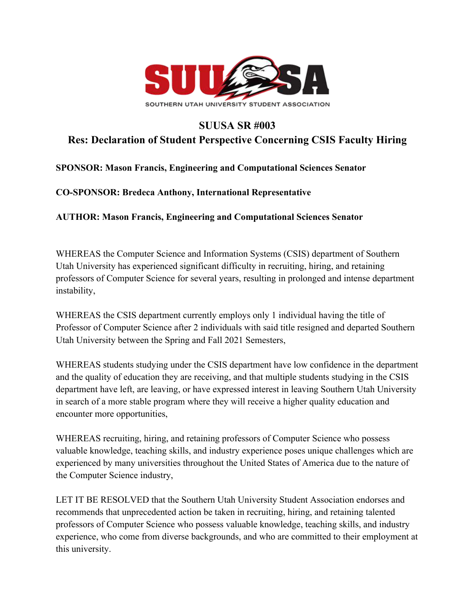

## **SUUSA SR #003**

## **Res: Declaration of Student Perspective Concerning CSIS Faculty Hiring**

## **SPONSOR: Mason Francis, Engineering and Computational Sciences Senator**

**CO-SPONSOR: Bredeca Anthony, International Representative**

**AUTHOR: Mason Francis, Engineering and Computational Sciences Senator**

WHEREAS the Computer Science and Information Systems (CSIS) department of Southern Utah University has experienced significant difficulty in recruiting, hiring, and retaining professors of Computer Science for several years, resulting in prolonged and intense department instability,

WHEREAS the CSIS department currently employs only 1 individual having the title of Professor of Computer Science after 2 individuals with said title resigned and departed Southern Utah University between the Spring and Fall 2021 Semesters,

WHEREAS students studying under the CSIS department have low confidence in the department and the quality of education they are receiving, and that multiple students studying in the CSIS department have left, are leaving, or have expressed interest in leaving Southern Utah University in search of a more stable program where they will receive a higher quality education and encounter more opportunities,

WHEREAS recruiting, hiring, and retaining professors of Computer Science who possess valuable knowledge, teaching skills, and industry experience poses unique challenges which are experienced by many universities throughout the United States of America due to the nature of the Computer Science industry,

LET IT BE RESOLVED that the Southern Utah University Student Association endorses and recommends that unprecedented action be taken in recruiting, hiring, and retaining talented professors of Computer Science who possess valuable knowledge, teaching skills, and industry experience, who come from diverse backgrounds, and who are committed to their employment at this university.